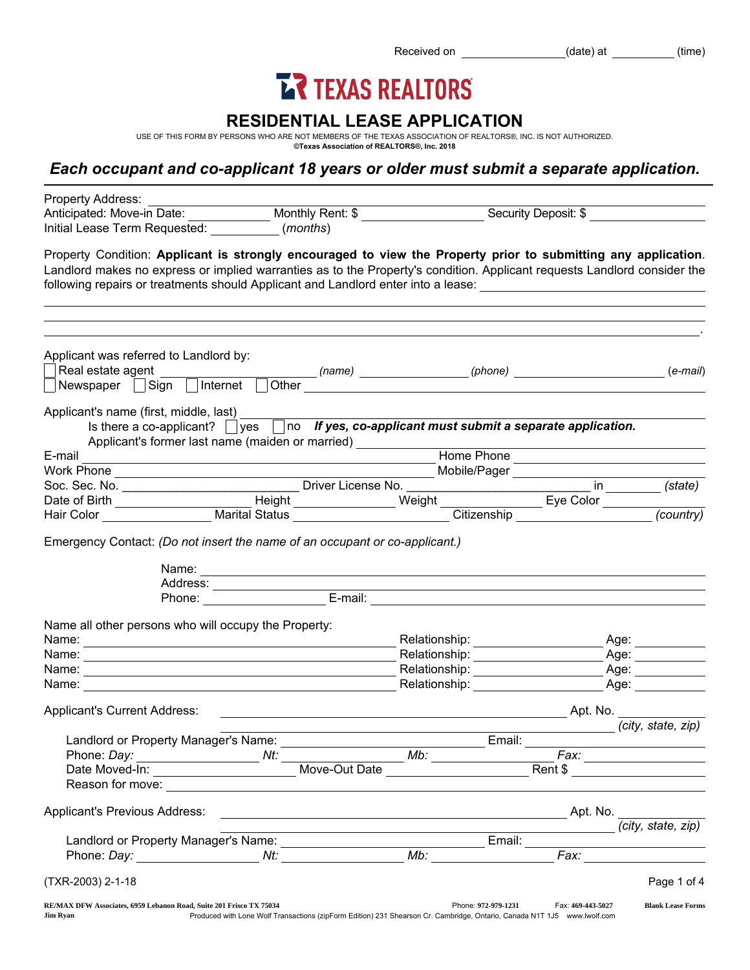Received on (date) at (time)

# **ER TEXAS REALTORS**

## RESIDENTIAL LEASE APPLICATION

USE OF THIS FORM BY PERSONS WHO ARE NOT MEMBERS OF THE TEXAS ASSOCIATION OF REALTORS®, INC. IS NOT AUTHORIZED. ©Texas Association of REALTORS®, Inc. 2018

# *Each occupant and co-applicant 18 years or older must submit a separate application.*

| Property Address:<br>Anticipated: Move-in Date: Monthly Rent: \$                                                                                                                                                                                                                                                                                             |                                                                                                                                                                                                                                                                                                                                                                                                                                                                   |                                                                                                                                                                                                                                |                     |                   | Security Deposit: \$          |
|--------------------------------------------------------------------------------------------------------------------------------------------------------------------------------------------------------------------------------------------------------------------------------------------------------------------------------------------------------------|-------------------------------------------------------------------------------------------------------------------------------------------------------------------------------------------------------------------------------------------------------------------------------------------------------------------------------------------------------------------------------------------------------------------------------------------------------------------|--------------------------------------------------------------------------------------------------------------------------------------------------------------------------------------------------------------------------------|---------------------|-------------------|-------------------------------|
| Initial Lease Term Requested: (months)                                                                                                                                                                                                                                                                                                                       |                                                                                                                                                                                                                                                                                                                                                                                                                                                                   |                                                                                                                                                                                                                                |                     |                   |                               |
| Property Condition: Applicant is strongly encouraged to view the Property prior to submitting any application.<br>Landlord makes no express or implied warranties as to the Property's condition. Applicant requests Landlord consider the<br>following repairs or treatments should Applicant and Landlord enter into a lease: 1988 1998 1999 1999 1999 199 |                                                                                                                                                                                                                                                                                                                                                                                                                                                                   |                                                                                                                                                                                                                                |                     |                   |                               |
|                                                                                                                                                                                                                                                                                                                                                              |                                                                                                                                                                                                                                                                                                                                                                                                                                                                   |                                                                                                                                                                                                                                |                     |                   |                               |
| Applicant was referred to Landlord by:<br>Newspaper Sign Internet                                                                                                                                                                                                                                                                                            |                                                                                                                                                                                                                                                                                                                                                                                                                                                                   |                                                                                                                                                                                                                                |                     |                   | $(e-mail)$                    |
|                                                                                                                                                                                                                                                                                                                                                              |                                                                                                                                                                                                                                                                                                                                                                                                                                                                   |                                                                                                                                                                                                                                |                     |                   |                               |
| Applicant's name (first, middle, last)<br>Is there a co-applicant? $\Box$ yes $\Box$ no If yes, co-applicant must submit a separate application.<br>Applicant's former last name (maiden or married) ____________                                                                                                                                            |                                                                                                                                                                                                                                                                                                                                                                                                                                                                   |                                                                                                                                                                                                                                |                     |                   |                               |
| E-mail                                                                                                                                                                                                                                                                                                                                                       | <u> 1989 - Johann Stein, marwolaethau a bhann an t-Amhair an t-Amhair an t-Amhair an t-Amhair an t-Amhair an t-A</u>                                                                                                                                                                                                                                                                                                                                              |                                                                                                                                                                                                                                |                     |                   | Home Phone                    |
|                                                                                                                                                                                                                                                                                                                                                              |                                                                                                                                                                                                                                                                                                                                                                                                                                                                   |                                                                                                                                                                                                                                |                     |                   |                               |
|                                                                                                                                                                                                                                                                                                                                                              |                                                                                                                                                                                                                                                                                                                                                                                                                                                                   |                                                                                                                                                                                                                                |                     |                   |                               |
|                                                                                                                                                                                                                                                                                                                                                              |                                                                                                                                                                                                                                                                                                                                                                                                                                                                   |                                                                                                                                                                                                                                |                     |                   |                               |
|                                                                                                                                                                                                                                                                                                                                                              | Name: Name: Name: Name: Name: Name: Name: Name: Name: Name: Name: Name: Name: Name: Name: Name: Name: Name: Name: Name: Name: Name: Name: Name: Name: Name: Name: Name: Name: Name: Name: Name: Name: Name: Name: Name: Name:<br>Address:<br>Phone: E-mail: E-mail: E-mail: E-mail: E-mail: E-mail: E-mail: E-mail: E-mail: E-mail: E-mail: E-mail: E-mail: E-mail: E-mail: E-mail: E-mail: E-mail: E-mail: E-mail: E-mail: E-mail: E-mail: E-mail: E-mail: E-mai |                                                                                                                                                                                                                                |                     |                   |                               |
| Name all other persons who will occupy the Property:                                                                                                                                                                                                                                                                                                         |                                                                                                                                                                                                                                                                                                                                                                                                                                                                   |                                                                                                                                                                                                                                |                     |                   |                               |
|                                                                                                                                                                                                                                                                                                                                                              |                                                                                                                                                                                                                                                                                                                                                                                                                                                                   | Relationship: __________________                                                                                                                                                                                               |                     |                   | _ Age: ___________            |
|                                                                                                                                                                                                                                                                                                                                                              |                                                                                                                                                                                                                                                                                                                                                                                                                                                                   |                                                                                                                                                                                                                                |                     |                   | Age: ___________              |
|                                                                                                                                                                                                                                                                                                                                                              |                                                                                                                                                                                                                                                                                                                                                                                                                                                                   | Relationship: _____________________                                                                                                                                                                                            |                     |                   |                               |
| Name:                                                                                                                                                                                                                                                                                                                                                        |                                                                                                                                                                                                                                                                                                                                                                                                                                                                   | Relationship: example and the set of the set of the set of the set of the set of the set of the set of the set of the set of the set of the set of the set of the set of the set of the set of the set of the set of the set o |                     |                   | Age: _______                  |
| <b>Applicant's Current Address:</b>                                                                                                                                                                                                                                                                                                                          |                                                                                                                                                                                                                                                                                                                                                                                                                                                                   |                                                                                                                                                                                                                                |                     |                   | Apt. No.                      |
|                                                                                                                                                                                                                                                                                                                                                              |                                                                                                                                                                                                                                                                                                                                                                                                                                                                   |                                                                                                                                                                                                                                |                     |                   | (city, state, zip)            |
| Landlord or Property Manager's Name:                                                                                                                                                                                                                                                                                                                         |                                                                                                                                                                                                                                                                                                                                                                                                                                                                   |                                                                                                                                                                                                                                | Email:              |                   |                               |
| Phone: Day: Mt: Move-Out Date Mb: Fax: Fax: Fax: Nove-Out Date Move-Out Date Move Phone: Rent \$                                                                                                                                                                                                                                                             |                                                                                                                                                                                                                                                                                                                                                                                                                                                                   |                                                                                                                                                                                                                                |                     |                   | Fax: ________________________ |
|                                                                                                                                                                                                                                                                                                                                                              |                                                                                                                                                                                                                                                                                                                                                                                                                                                                   |                                                                                                                                                                                                                                |                     |                   |                               |
|                                                                                                                                                                                                                                                                                                                                                              |                                                                                                                                                                                                                                                                                                                                                                                                                                                                   |                                                                                                                                                                                                                                |                     |                   |                               |
| Applicant's Previous Address:                                                                                                                                                                                                                                                                                                                                |                                                                                                                                                                                                                                                                                                                                                                                                                                                                   |                                                                                                                                                                                                                                |                     |                   |                               |
|                                                                                                                                                                                                                                                                                                                                                              |                                                                                                                                                                                                                                                                                                                                                                                                                                                                   | <u> 1989 - Johann Barn, mars ann an t-Amhain Aonaichte ann an t-Aonaichte ann an t-Aonaichte ann an t-Aonaichte a</u>                                                                                                          |                     |                   | (city, state, zip)            |
|                                                                                                                                                                                                                                                                                                                                                              |                                                                                                                                                                                                                                                                                                                                                                                                                                                                   |                                                                                                                                                                                                                                |                     |                   |                               |
| (TXR-2003) 2-1-18                                                                                                                                                                                                                                                                                                                                            |                                                                                                                                                                                                                                                                                                                                                                                                                                                                   |                                                                                                                                                                                                                                |                     |                   | Page 1 of 4                   |
| RE/MAX DFW Associates, 6959 Lebanon Road, Suite 201 Frisco TX 75034                                                                                                                                                                                                                                                                                          | Produced with Lone Wolf Transactions (zipForm Edition) 231 Shearson Cr. Cambridge, Ontario, Canada N1T 1J5 www.lwolf.com                                                                                                                                                                                                                                                                                                                                          |                                                                                                                                                                                                                                | Phone: 972-979-1231 | Fax: 469-443-5027 | <b>Blank Lease Forms</b>      |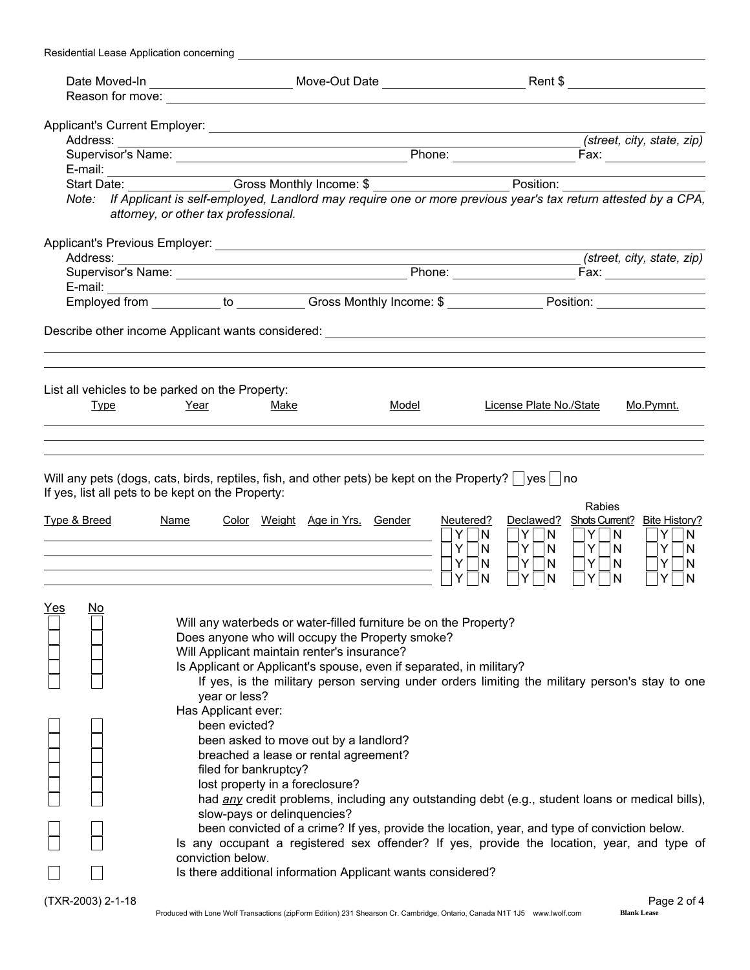| Residential Lease Application concerning |                                                                                                                                                                                                                                                                                                        |                                                                                                                                                                                                                                                           |                                                                                                                                                                                                                                                                                                                                                                                                 |                                                                                                                                          |
|------------------------------------------|--------------------------------------------------------------------------------------------------------------------------------------------------------------------------------------------------------------------------------------------------------------------------------------------------------|-----------------------------------------------------------------------------------------------------------------------------------------------------------------------------------------------------------------------------------------------------------|-------------------------------------------------------------------------------------------------------------------------------------------------------------------------------------------------------------------------------------------------------------------------------------------------------------------------------------------------------------------------------------------------|------------------------------------------------------------------------------------------------------------------------------------------|
|                                          |                                                                                                                                                                                                                                                                                                        |                                                                                                                                                                                                                                                           |                                                                                                                                                                                                                                                                                                                                                                                                 |                                                                                                                                          |
|                                          |                                                                                                                                                                                                                                                                                                        |                                                                                                                                                                                                                                                           |                                                                                                                                                                                                                                                                                                                                                                                                 |                                                                                                                                          |
|                                          |                                                                                                                                                                                                                                                                                                        |                                                                                                                                                                                                                                                           |                                                                                                                                                                                                                                                                                                                                                                                                 |                                                                                                                                          |
|                                          |                                                                                                                                                                                                                                                                                                        |                                                                                                                                                                                                                                                           |                                                                                                                                                                                                                                                                                                                                                                                                 | (street, city, state, zip)                                                                                                               |
|                                          |                                                                                                                                                                                                                                                                                                        |                                                                                                                                                                                                                                                           |                                                                                                                                                                                                                                                                                                                                                                                                 |                                                                                                                                          |
|                                          | E-mail: Start Date: Cross Monthly Income: \$                                                                                                                                                                                                                                                           |                                                                                                                                                                                                                                                           |                                                                                                                                                                                                                                                                                                                                                                                                 |                                                                                                                                          |
|                                          |                                                                                                                                                                                                                                                                                                        |                                                                                                                                                                                                                                                           |                                                                                                                                                                                                                                                                                                                                                                                                 |                                                                                                                                          |
|                                          | Note: If Applicant is self-employed, Landlord may require one or more previous year's tax return attested by a CPA,<br>attorney, or other tax professional.                                                                                                                                            |                                                                                                                                                                                                                                                           |                                                                                                                                                                                                                                                                                                                                                                                                 |                                                                                                                                          |
|                                          |                                                                                                                                                                                                                                                                                                        |                                                                                                                                                                                                                                                           |                                                                                                                                                                                                                                                                                                                                                                                                 | (street, city, state, zip)                                                                                                               |
|                                          |                                                                                                                                                                                                                                                                                                        |                                                                                                                                                                                                                                                           |                                                                                                                                                                                                                                                                                                                                                                                                 |                                                                                                                                          |
|                                          |                                                                                                                                                                                                                                                                                                        |                                                                                                                                                                                                                                                           |                                                                                                                                                                                                                                                                                                                                                                                                 |                                                                                                                                          |
|                                          |                                                                                                                                                                                                                                                                                                        |                                                                                                                                                                                                                                                           |                                                                                                                                                                                                                                                                                                                                                                                                 |                                                                                                                                          |
|                                          |                                                                                                                                                                                                                                                                                                        |                                                                                                                                                                                                                                                           |                                                                                                                                                                                                                                                                                                                                                                                                 |                                                                                                                                          |
|                                          |                                                                                                                                                                                                                                                                                                        |                                                                                                                                                                                                                                                           |                                                                                                                                                                                                                                                                                                                                                                                                 |                                                                                                                                          |
|                                          | List all vehicles to be parked on the Property:                                                                                                                                                                                                                                                        |                                                                                                                                                                                                                                                           |                                                                                                                                                                                                                                                                                                                                                                                                 |                                                                                                                                          |
| <b>Type</b>                              | Year<br>Make                                                                                                                                                                                                                                                                                           | Model                                                                                                                                                                                                                                                     | License Plate No./State                                                                                                                                                                                                                                                                                                                                                                         | Mo.Pymnt.                                                                                                                                |
|                                          |                                                                                                                                                                                                                                                                                                        |                                                                                                                                                                                                                                                           |                                                                                                                                                                                                                                                                                                                                                                                                 |                                                                                                                                          |
| <u>Type &amp; Breed</u>                  | If yes, list all pets to be kept on the Property:<br><b>Name</b>                                                                                                                                                                                                                                       | Color Weight Age in Yrs. Gender                                                                                                                                                                                                                           | Neutered?<br>Declawed?<br>Y.<br> N <br>Y N<br>Y.<br>$Y\Box N$<br> N <br>Y<br>$Y \Box N$<br>N<br>$\overline{\phantom{0}}$<br>Y<br>Y<br>N<br>N<br>Y                                                                                                                                                                                                                                               | <b>Rabies</b><br>Shots Current? Bite History?<br>$Y$ $ N$<br>$Y$ $ N$<br>$Y \Box N$<br>$Y \Box N$<br>$Y \cap N$<br>Y<br>N<br>N<br>Y<br>N |
| <u>Yes</u><br><u>No</u>                  | Will Applicant maintain renter's insurance?<br>year or less?<br>Has Applicant ever:<br>been evicted?<br>been asked to move out by a landlord?<br>breached a lease or rental agreement?<br>filed for bankruptcy?<br>lost property in a foreclosure?<br>slow-pays or delinquencies?<br>conviction below. | Will any waterbeds or water-filled furniture be on the Property?<br>Does anyone who will occupy the Property smoke?<br>Is Applicant or Applicant's spouse, even if separated, in military?<br>Is there additional information Applicant wants considered? | If yes, is the military person serving under orders limiting the military person's stay to one<br>had any credit problems, including any outstanding debt (e.g., student loans or medical bills),<br>been convicted of a crime? If yes, provide the location, year, and type of conviction below.<br>Is any occupant a registered sex offender? If yes, provide the location, year, and type of |                                                                                                                                          |
| (TXR-2003) 2-1-18                        |                                                                                                                                                                                                                                                                                                        |                                                                                                                                                                                                                                                           |                                                                                                                                                                                                                                                                                                                                                                                                 | Page 2 of 4                                                                                                                              |
|                                          | Produced with Lone Wolf Transactions (zipForm Edition) 231 Shearson Cr. Cambridge, Ontario, Canada N1T 1J5 www.lwolf.com                                                                                                                                                                               |                                                                                                                                                                                                                                                           |                                                                                                                                                                                                                                                                                                                                                                                                 | <b>Blank Lease</b>                                                                                                                       |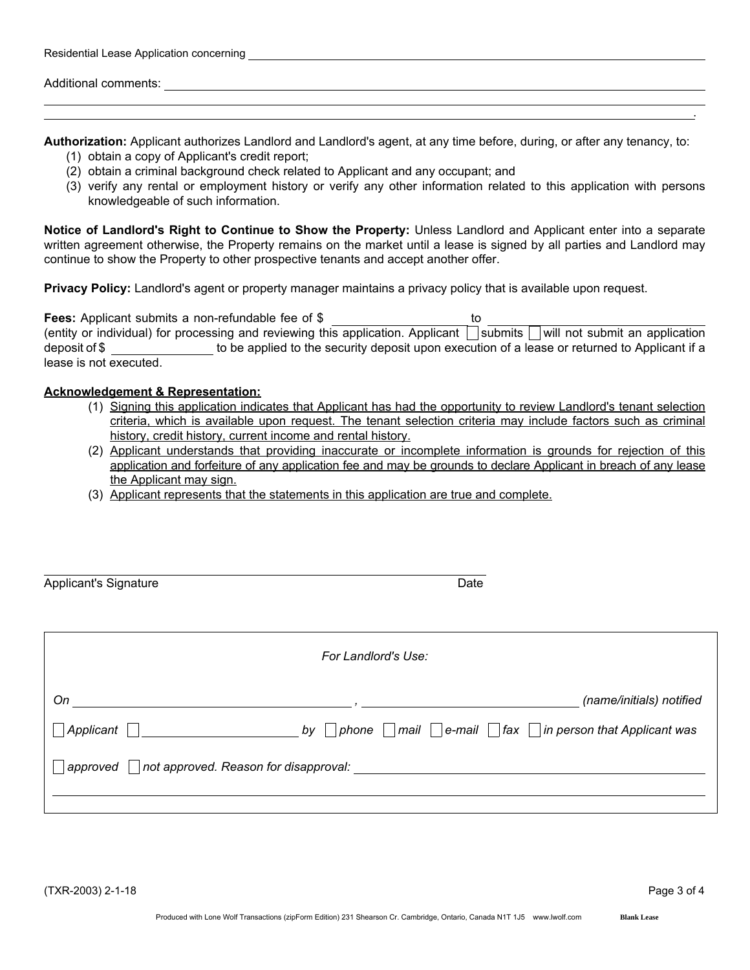| Residential Lease Application concerning |  |  |  |  |
|------------------------------------------|--|--|--|--|
|------------------------------------------|--|--|--|--|

Additional comments:

Authorization: Applicant authorizes Landlord and Landlord's agent, at any time before, during, or after any tenancy, to:

- (1) obtain a copy of Applicant's credit report;
- (2) obtain a criminal background check related to Applicant and any occupant; and
- (3) verify any rental or employment history or verify any other information related to this application with persons knowledgeable of such information.

Notice of Landlord's Right to Continue to Show the Property: Unless Landlord and Applicant enter into a separate written agreement otherwise, the Property remains on the market until a lease is signed by all parties and Landlord may continue to show the Property to other prospective tenants and accept another offer.

Privacy Policy: Landlord's agent or property manager maintains a privacy policy that is available upon request.

Fees: Applicant submits a non-refundable fee of \$ to (entity or individual) for processing and reviewing this application. Applicant  $\Box$  submits  $\Box$  will not submit an application deposit of \$ to be applied to the security deposit upon execution of a lease or returned to Applicant if a lease is not executed.

#### Acknowledgement & Representation:

- (1) Signing this application indicates that Applicant has had the opportunity to review Landlord's tenant selection criteria, which is available upon request. The tenant selection criteria may include factors such as criminal history, credit history, current income and rental history.
- (2) Applicant understands that providing inaccurate or incomplete information is grounds for rejection of this application and forfeiture of any application fee and may be grounds to declare Applicant in breach of any lease the Applicant may sign.
- (3) Applicant represents that the statements in this application are true and complete.

| <b>Applicant's Signature</b> | Date                                                                                                                                                                                                                           |                                                                                       |  |
|------------------------------|--------------------------------------------------------------------------------------------------------------------------------------------------------------------------------------------------------------------------------|---------------------------------------------------------------------------------------|--|
|                              | For Landlord's Use:                                                                                                                                                                                                            |                                                                                       |  |
| On                           | $\overline{\phantom{a}}$                                                                                                                                                                                                       | (name/initials) notified                                                              |  |
| Applicant                    | by                                                                                                                                                                                                                             | $\neg$ phone $\Box$ mail $\Box$ e-mail $\Box$ fax $\Box$ in person that Applicant was |  |
| approved                     | not approved. Reason for disapproval: with the contract of the contract of the contract of the contract of the contract of the contract of the contract of the contract of the contract of the contract of the contract of the |                                                                                       |  |

.